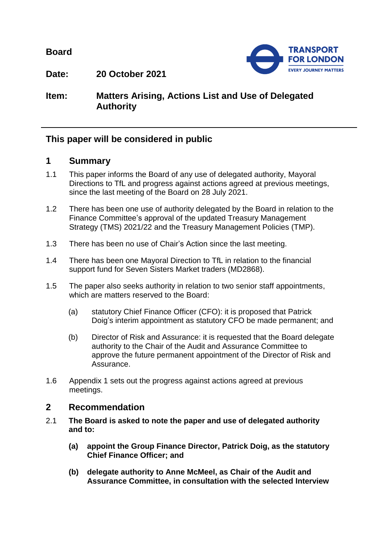**Board**



**Date: 20 October 2021**

# **Item: Matters Arising, Actions List and Use of Delegated Authority**

## **This paper will be considered in public**

## **1 Summary**

- 1.1 This paper informs the Board of any use of delegated authority, Mayoral Directions to TfL and progress against actions agreed at previous meetings, since the last meeting of the Board on 28 July 2021.
- 1.2 There has been one use of authority delegated by the Board in relation to the Finance Committee's approval of the updated Treasury Management Strategy (TMS) 2021/22 and the Treasury Management Policies (TMP).
- 1.3 There has been no use of Chair's Action since the last meeting.
- 1.4 There has been one Mayoral Direction to TfL in relation to the financial support fund for Seven Sisters Market traders (MD2868).
- 1.5 The paper also seeks authority in relation to two senior staff appointments, which are matters reserved to the Board:
	- (a) statutory Chief Finance Officer (CFO): it is proposed that Patrick Doig's interim appointment as statutory CFO be made permanent; and
	- (b) Director of Risk and Assurance: it is requested that the Board delegate authority to the Chair of the Audit and Assurance Committee to approve the future permanent appointment of the Director of Risk and Assurance.
- 1.6 Appendix 1 sets out the progress against actions agreed at previous meetings.

### **2 Recommendation**

- 2.1 **The Board is asked to note the paper and use of delegated authority and to:**
	- **(a) appoint the Group Finance Director, Patrick Doig, as the statutory Chief Finance Officer; and**
	- **(b) delegate authority to Anne McMeel, as Chair of the Audit and Assurance Committee, in consultation with the selected Interview**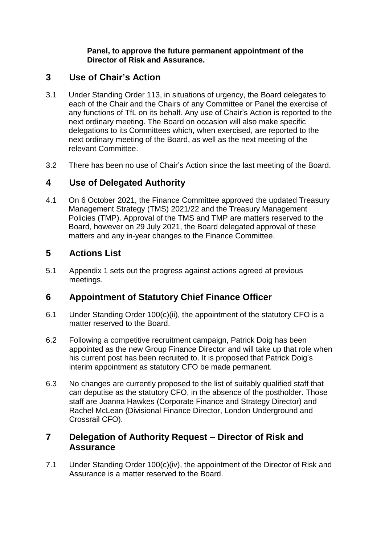### **Panel, to approve the future permanent appointment of the Director of Risk and Assurance.**

## **3 Use of Chair's Action**

- 3.1 Under Standing Order 113, in situations of urgency, the Board delegates to each of the Chair and the Chairs of any Committee or Panel the exercise of any functions of TfL on its behalf. Any use of Chair's Action is reported to the next ordinary meeting. The Board on occasion will also make specific delegations to its Committees which, when exercised, are reported to the next ordinary meeting of the Board, as well as the next meeting of the relevant Committee.
- 3.2 There has been no use of Chair's Action since the last meeting of the Board.

# **4 Use of Delegated Authority**

4.1 On 6 October 2021, the Finance Committee approved the updated Treasury Management Strategy (TMS) 2021/22 and the Treasury Management Policies (TMP). Approval of the TMS and TMP are matters reserved to the Board, however on 29 July 2021, the Board delegated approval of these matters and any in-year changes to the Finance Committee.

# **5 Actions List**

5.1 Appendix 1 sets out the progress against actions agreed at previous meetings.

## **6 Appointment of Statutory Chief Finance Officer**

- 6.1 Under Standing Order 100(c)(ii), the appointment of the statutory CFO is a matter reserved to the Board.
- 6.2 Following a competitive recruitment campaign, Patrick Doig has been appointed as the new Group Finance Director and will take up that role when his current post has been recruited to. It is proposed that Patrick Doig's interim appointment as statutory CFO be made permanent.
- 6.3 No changes are currently proposed to the list of suitably qualified staff that can deputise as the statutory CFO, in the absence of the postholder. Those staff are Joanna Hawkes (Corporate Finance and Strategy Director) and Rachel McLean (Divisional Finance Director, London Underground and Crossrail CFO).

## **7 Delegation of Authority Request – Director of Risk and Assurance**

7.1 Under Standing Order 100(c)(iv), the appointment of the Director of Risk and Assurance is a matter reserved to the Board.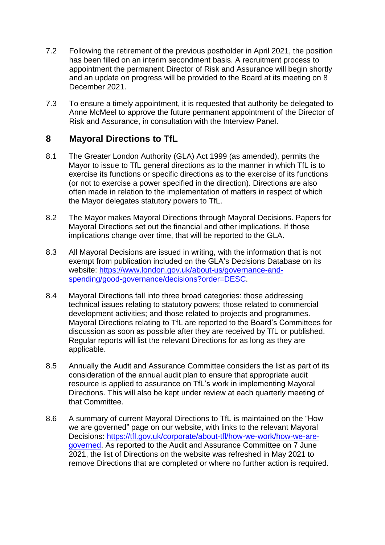- 7.2 Following the retirement of the previous postholder in April 2021, the position has been filled on an interim secondment basis. A recruitment process to appointment the permanent Director of Risk and Assurance will begin shortly and an update on progress will be provided to the Board at its meeting on 8 December 2021.
- 7.3 To ensure a timely appointment, it is requested that authority be delegated to Anne McMeel to approve the future permanent appointment of the Director of Risk and Assurance, in consultation with the Interview Panel.

### **8 Mayoral Directions to TfL**

- 8.1 The Greater London Authority (GLA) Act 1999 (as amended), permits the Mayor to issue to TfL general directions as to the manner in which TfL is to exercise its functions or specific directions as to the exercise of its functions (or not to exercise a power specified in the direction). Directions are also often made in relation to the implementation of matters in respect of which the Mayor delegates statutory powers to TfL.
- 8.2 The Mayor makes Mayoral Directions through Mayoral Decisions. Papers for Mayoral Directions set out the financial and other implications. If those implications change over time, that will be reported to the GLA.
- 8.3 All Mayoral Decisions are issued in writing, with the information that is not exempt from publication included on the GLA's Decisions Database on its website: [https://www.london.gov.uk/about-us/governance-and](https://www.london.gov.uk/about-us/governance-and-spending/good-governance/decisions?order=DESC)[spending/good-governance/decisions?order=DESC.](https://www.london.gov.uk/about-us/governance-and-spending/good-governance/decisions?order=DESC)
- 8.4 Mayoral Directions fall into three broad categories: those addressing technical issues relating to statutory powers; those related to commercial development activities; and those related to projects and programmes. Mayoral Directions relating to TfL are reported to the Board's Committees for discussion as soon as possible after they are received by TfL or published. Regular reports will list the relevant Directions for as long as they are applicable.
- 8.5 Annually the Audit and Assurance Committee considers the list as part of its consideration of the annual audit plan to ensure that appropriate audit resource is applied to assurance on TfL's work in implementing Mayoral Directions. This will also be kept under review at each quarterly meeting of that Committee.
- 8.6 A summary of current Mayoral Directions to TfL is maintained on the "How we are governed" page on our website, with links to the relevant Mayoral Decisions: [https://tfl.gov.uk/corporate/about-tfl/how-we-work/how-we-are](https://tfl.gov.uk/corporate/about-tfl/how-we-work/how-we-are-governed)[governed.](https://tfl.gov.uk/corporate/about-tfl/how-we-work/how-we-are-governed) As reported to the Audit and Assurance Committee on 7 June 2021, the list of Directions on the website was refreshed in May 2021 to remove Directions that are completed or where no further action is required.